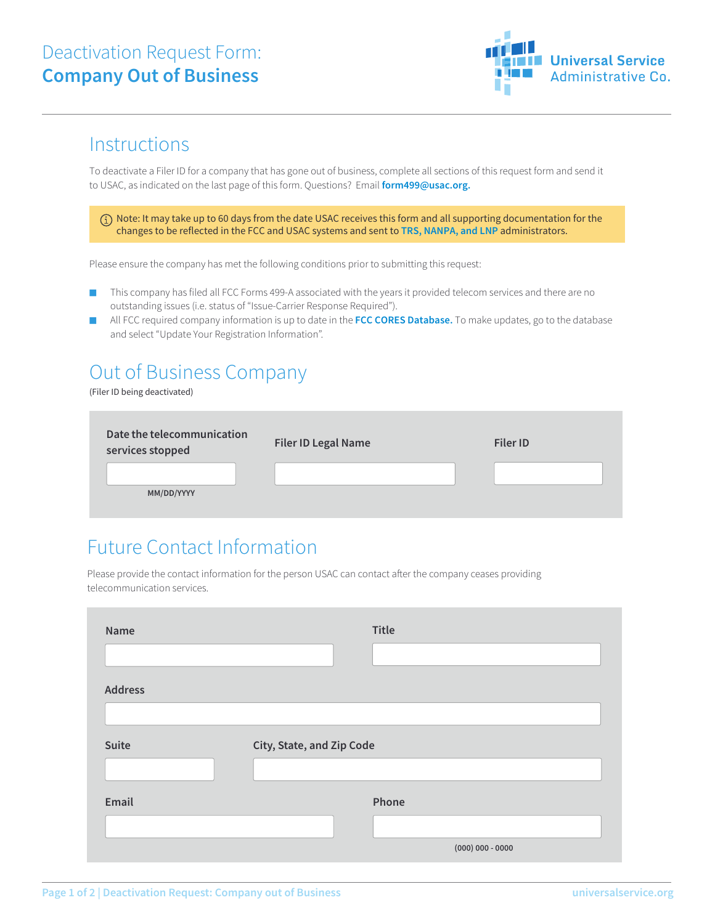#### Deactivation Request Form: **Company Out of Business**



#### **Instructions**

To deactivate a Filer ID for a company that has gone out of business, complete all sections of this request form and send it to USAC, as indicated on the last page of this form. Questions? Email **form499@usac.org.**

 Note: It may take up to 60 days from the date USAC receives this form and all supporting documentation for the changes to be reflected in the FCC and USAC systems and sent to **TRS, NANPA, and LNP** administrators.

Please ensure the company has met the following conditions prior to submitting this request:

- This company has filed all FCC Forms 499-A associated with the years it provided telecom services and there are no outstanding issues (i.e. status of "Issue-Carrier Response Required").
- All FCC required company information is up to date in the FCC CORES Database. To make updates, go to the database and select "Update Your Registration Information".

# Out of Business Company

(Filer ID being deactivated)

| Date the telecommunication<br>services stopped | <b>Filer ID Legal Name</b> | <b>Filer ID</b> |
|------------------------------------------------|----------------------------|-----------------|
|                                                |                            |                 |
| MM/DD/YYYY                                     |                            |                 |

### Future Contact Information

Please provide the contact information for the person USAC can contact after the company ceases providing telecommunication services.

| Name           |                           | <b>Title</b> |                    |
|----------------|---------------------------|--------------|--------------------|
| <b>Address</b> |                           |              |                    |
|                |                           |              |                    |
| Suite          | City, State, and Zip Code |              |                    |
| Email          |                           | Phone        |                    |
|                |                           |              | $(000)$ 000 - 0000 |